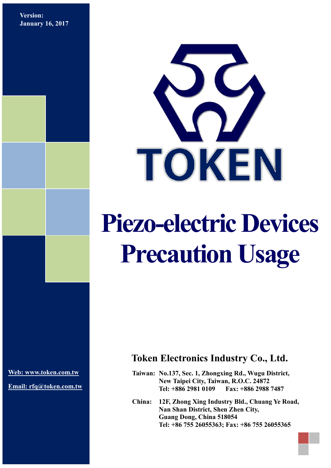**Version: January 16, 2017**



# **Piezo-electric Devices Precaution Usage**

**[Web: www.token.com.tw](http://www.token.com.tw/)**

**Email: rfq@token.com.tw**

# **Token Electronics Industry Co., Ltd.**

**Taiwan: No.137, Sec. 1, Zhongxing Rd., Wugu District, New Taipei City, Taiwan, R.O.C. 24872 Tel: +886 2981 0109 Fax: +886 2988 7487**

**China: 12F, Zhong Xing Industry Bld., Chuang Ye Road, Nan Shan District, Shen Zhen City, Guang Dong, China 518054 Tel: +86 755 26055363; Fax: +86 755 26055365**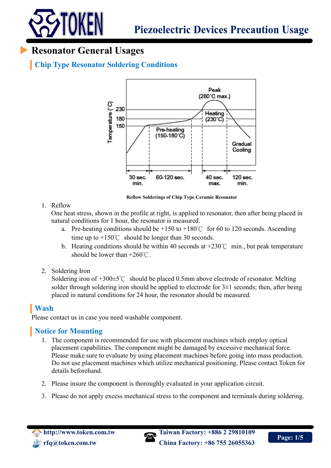

# **Resonator General Usages**

# **Chip Type Resonator Soldering Conditions**



**Reflow Solderings of Chip Type Ceramic Resonator**

#### 1. Reflow

One heat stress, shown in the profile at right, is applied to resonator, then after being placed in natural conditions for 1 hour, the resonator is measured.

- a. Pre-heating conditions should be  $+150$  to  $+180^{\circ}$  for 60 to 120 seconds. Ascending time up to  $+150^{\circ}$  should be longer than 30 seconds.
- b. Heating conditions should be within 40 seconds at  $+230^{\circ}$  min., but peak temperature should be lower than  $+260^{\circ}$ C.
- 2. Soldering Iron

Soldering iron of  $+300\pm5^{\circ}$  should be placed 0.5mm above electrode of resonator. Melting solder through soldering iron should be applied to electrode for  $3\pm 1$  seconds; then, after being placed in natural conditions for 24 hour, the resonator should be measured.

## **Wash**

Please contact us in case you need washable component.

#### **Notice for Mounting**

- 1. The component is recommended for use with placement machines which employ optical placement capabilities. The component might be damaged by excessive mechanical force. Please make sure to evaluate by using placement machines before going into mass production. Do not use placement machines which utilize mechanical positioning. Please contact Token for details beforehand.
- 2. Please insure the component is thoroughly evaluated in your application circuit.
- 3. Please do not apply excess mechanical stress to the component and terminals during soldering.



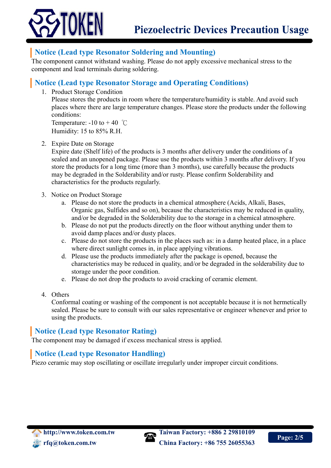

#### **Notice (Lead type Resonator Soldering and Mounting)**

The component cannot withstand washing. Please do not apply excessive mechanical stress to the component and lead terminals during soldering.

#### **Notice (Lead type Resonator Storage and Operating Conditions)**

1. Product Storage Condition

Please stores the products in room where the temperature/humidity is stable. And avoid such places where there are large temperature changes. Please store the products under the following conditions:

Temperature:  $-10$  to  $+40$  °C Humidity: 15 to 85% R.H.

2. Expire Date on Storage

Expire date (Shelf life) of the products is 3 months after delivery under the conditions of a sealed and an unopened package. Please use the products within 3 months after delivery. If you store the products for a long time (more than 3 months), use carefully because the products may be degraded in the Solderability and/or rusty. Please confirm Solderability and characteristics for the products regularly.

- 3. Notice on Product Storage
	- a. Please do not store the products in a chemical atmosphere (Acids, Alkali, Bases, Organic gas, Sulfides and so on), because the characteristics may be reduced in quality, and/or be degraded in the Solderability due to the storage in a chemical atmosphere.
	- b. Please do not put the products directly on the floor without anything under them to avoid damp places and/or dusty places.
	- c. Please do not store the products in the places such as: in a damp heated place, in a place where direct sunlight comes in, in place applying vibrations.
	- d. Please use the products immediately after the package is opened, because the characteristics may be reduced in quality, and/or be degraded in the solderability due to storage under the poor condition.
	- e. Please do not drop the products to avoid cracking of ceramic element.
- 4. Others

Conformal coating or washing of the component is not acceptable because it is not hermetically sealed. Please be sure to consult with our sales representative or engineer whenever and prior to using the products.

#### **Notice (Lead type Resonator Rating)**

The component may be damaged if excess mechanical stress is applied.

#### **Notice (Lead type Resonator Handling)**

Piezo ceramic may stop oscillating or oscillate irregularly under improper circuit conditions.

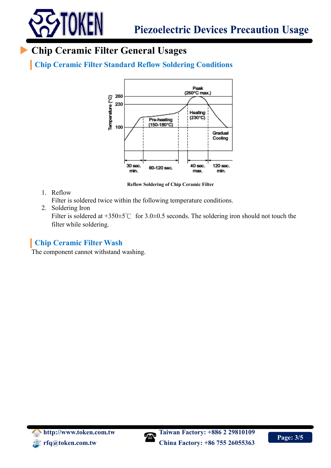

# **Chip Ceramic Filter General Usages**

**Chip Ceramic Filter Standard Reflow Soldering Conditions**



**Reflow Soldering of Chip Ceramic Filter**

1. Reflow

Filter is soldered twice within the following temperature conditions.

2. Soldering Iron

Filter is soldered at +350±5℃ for 3.0±0.5 seconds. The soldering iron should not touch the filter while soldering.

## **Chip Ceramic Filter Wash**

The component cannot withstand washing.

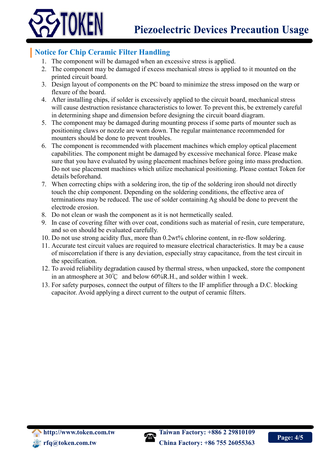

### **Notice for Chip Ceramic Filter Handling**

- 1. The component will be damaged when an excessive stress is applied.
- 2. The component may be damaged if excess mechanical stress is applied to it mounted on the printed circuit board.
- 3. Design layout of components on the PC board to minimize the stress imposed on the warp or flexure of the board.
- 4. After installing chips, if solder is excessively applied to the circuit board, mechanical stress will cause destruction resistance characteristics to lower. To prevent this, be extremely careful in determining shape and dimension before designing the circuit board diagram.
- 5. The component may be damaged during mounting process if some parts of mounter such as positioning claws or nozzle are worn down. The regular maintenance recommended for mounters should be done to prevent troubles.
- 6. The component is recommended with placement machines which employ optical placement capabilities. The component might be damaged by excessive mechanical force. Please make sure that you have evaluated by using placement machines before going into mass production. Do not use placement machines which utilize mechanical positioning. Please contact Token for details beforehand.
- 7. When correcting chips with a soldering iron, the tip of the soldering iron should not directly touch the chip component. Depending on the soldering conditions, the effective area of terminations may be reduced. The use of solder containing Ag should be done to prevent the electrode erosion.
- 8. Do not clean or wash the component as it is not hermetically sealed.
- 9. In case of covering filter with over coat, conditions such as material of resin, cure temperature, and so on should be evaluated carefully.
- 10. Do not use strong acidity flux, more than 0.2wt% chlorine content, in re-flow soldering.
- 11. Accurate test circuit values are required to measure electrical characteristics. It may be a cause of miscorrelation if there is any deviation, especially stray capacitance, from the test circuit in the specification.
- 12. To avoid reliability degradation caused by thermal stress, when unpacked, store the component in an atmosphere at 30℃ and below 60%R.H., and solder within 1 week.
- 13. For safety purposes, connect the output of filters to the IF amplifier through a D.C. blocking capacitor. Avoid applying a direct current to the output of ceramic filters.